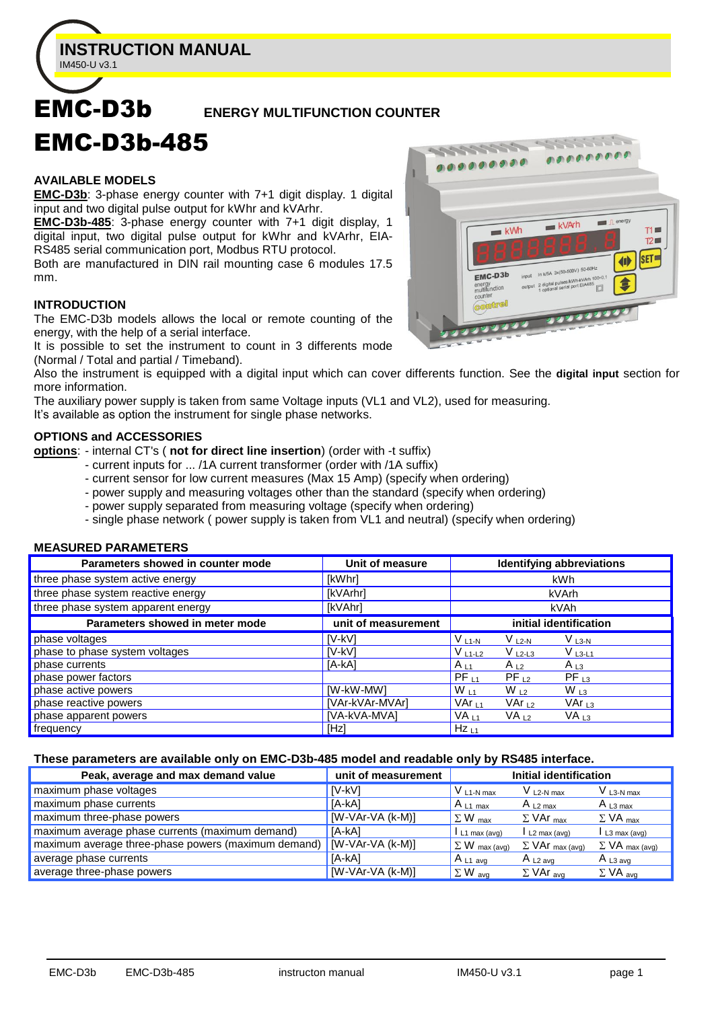

# EMC-D3b **ENERGY MULTIFUNCTION COUNTER**

#### **AVAILABLE MODELS**

EMC-D3b-485

**EMC-D3b**: 3-phase energy counter with 7+1 digit display. 1 digital input and two digital pulse output for kWhr and kVArhr.

**EMC-D3b-485**: 3-phase energy counter with 7+1 digit display, 1 digital input, two digital pulse output for kWhr and kVArhr, EIA-RS485 serial communication port, Modbus RTU protocol.

Both are manufactured in DIN rail mounting case 6 modules 17.5 mm.

#### **INTRODUCTION**

The EMC-D3b models allows the local or remote counting of the energy, with the help of a serial interface.

It is possible to set the instrument to count in 3 differents mode (Normal / Total and partial / Timeband).

Also the instrument is equipped with a digital input which can cover differents function. See the **digital input** section for more information.

The auxiliary power supply is taken from same Voltage inputs (VL1 and VL2), used for measuring.

It's available as option the instrument for single phase networks.

#### **OPTIONS and ACCESSORIES**

**options**: - internal CT's ( **not for direct line insertion**) (order with -t suffix)

- current inputs for ... /1A current transformer (order with /1A suffix)
- current sensor for low current measures (Max 15 Amp) (specify when ordering)
- power supply and measuring voltages other than the standard (specify when ordering)
- power supply separated from measuring voltage (specify when ordering)
- single phase network ( power supply is taken from VL1 and neutral) (specify when ordering)

# **MEASURED PARAMETERS**

| Parameters showed in counter mode  | Unit of measure     | Identifying abbreviations                                     |
|------------------------------------|---------------------|---------------------------------------------------------------|
| three phase system active energy   | [kWhr]              | kWh                                                           |
| three phase system reactive energy | [kVArhr]            | kVArh                                                         |
| three phase system apparent energy | [kVAhr]             | kVAh                                                          |
| Parameters showed in meter mode    | unit of measurement | initial identification                                        |
| phase voltages                     | [V-kV]              | $VL1-N$<br>V l3-n<br>$V$ L2-N                                 |
| phase to phase system voltages     | <b>IV-kVI</b>       | <sub>≀</sub> V <sub>L1-L2</sub><br>$V_{L2-L3}$<br>$V_{L3-L1}$ |
| phase currents                     | [A-kA]              | $A_{L1}$<br>$A_{L2}$<br>A $L_3$                               |
| phase power factors                |                     | $PF_{11}$<br>$PF_{L3}$<br>$PF_{12}$                           |
| phase active powers                | [W-kW-MW]           | $W_{L1}$<br>$W_{12}$<br>$W_{L3}$                              |
| phase reactive powers              | [VAr-kVAr-MVAr]     | $VAr_{11}$<br>VAr $_{L2}$<br>VAr $_{13}$                      |
| phase apparent powers              | [VA-kVA-MVA]        | VA <sub>11</sub><br>VA <sub>L2</sub><br>VA <sub>L3</sub>      |
| frequency                          | [Hz]                | $Hz_{L1}$                                                     |

#### **These parameters are available only on EMC-D3b-485 model and readable only by RS485 interface.**

| Peak, average and max demand value                  | unit of measurement |                           | Initial identification             |                            |
|-----------------------------------------------------|---------------------|---------------------------|------------------------------------|----------------------------|
| maximum phase voltages                              | [V-kV]              | $V_{L1-N max}$            | $V_{L2-N max}$                     | $V_{L3-N max}$             |
| maximum phase currents                              | [A-kA]              | $A_{L1}$ max              | A $L2$ max                         | $A_{L3 max}$               |
| maximum three-phase powers                          | $[W-VAr-VA (k-M)]$  | $\Sigma$ W <sub>max</sub> | $\Sigma$ VAr $_{\text{max}}$       | $\Sigma$ VA <sub>max</sub> |
| maximum average phase currents (maximum demand)     | [A-kA]              | $L1$ max (avg)            | $L2$ max (avg)                     | L3 max (avg)               |
| maximum average three-phase powers (maximum demand) | [W-VAr-VA (k-M)]    | $\Sigma$ W max (avg)      | $\Sigma$ VAr $_{\text{max (avg)}}$ | $\Sigma$ VA max (avg)      |
| average phase currents                              | [A-kA]              | $A_{L1}$ avg              | A $L2$ ava                         | $A_{L3 \text{ avg}}$       |
| average three-phase powers                          | $[W-VAr-VA (k-M)]$  | $\Sigma$ W avg            | $\Sigma$ VAr <sub>avg</sub>        | $\Sigma$ VA avg            |

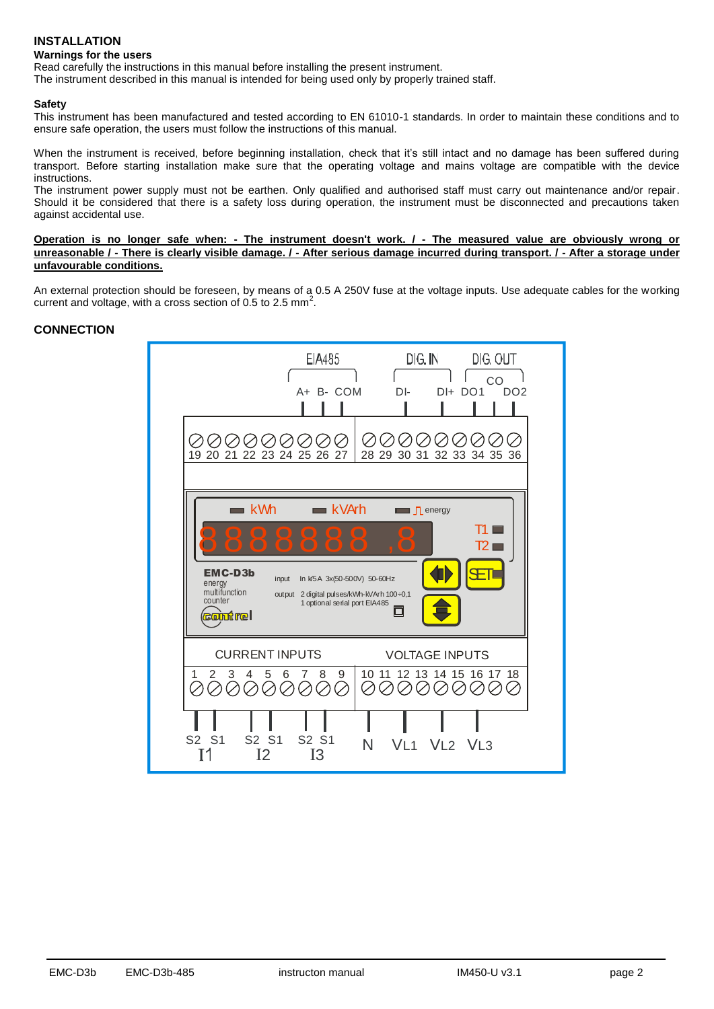# **INSTALLATION Warnings for the users**

Read carefully the instructions in this manual before installing the present instrument.

The instrument described in this manual is intended for being used only by properly trained staff.

#### **Safety**

This instrument has been manufactured and tested according to EN 61010-1 standards. In order to maintain these conditions and to ensure safe operation, the users must follow the instructions of this manual.

When the instrument is received, before beginning installation, check that it's still intact and no damage has been suffered during transport. Before starting installation make sure that the operating voltage and mains voltage are compatible with the device instructions.

The instrument power supply must not be earthen. Only qualified and authorised staff must carry out maintenance and/or repair. Should it be considered that there is a safety loss during operation, the instrument must be disconnected and precautions taken against accidental use.

**Operation is no longer safe when: - The instrument doesn't work. / - The measured value are obviously wrong or unreasonable / - There is clearly visible damage. / - After serious damage incurred during transport. / - After a storage under unfavourable conditions.**

An external protection should be foreseen, by means of a 0.5 A 250V fuse at the voltage inputs. Use adequate cables for the working current and voltage, with a cross section of 0.5 to 2.5 mm<sup>2</sup>.

# **CONNECTION**

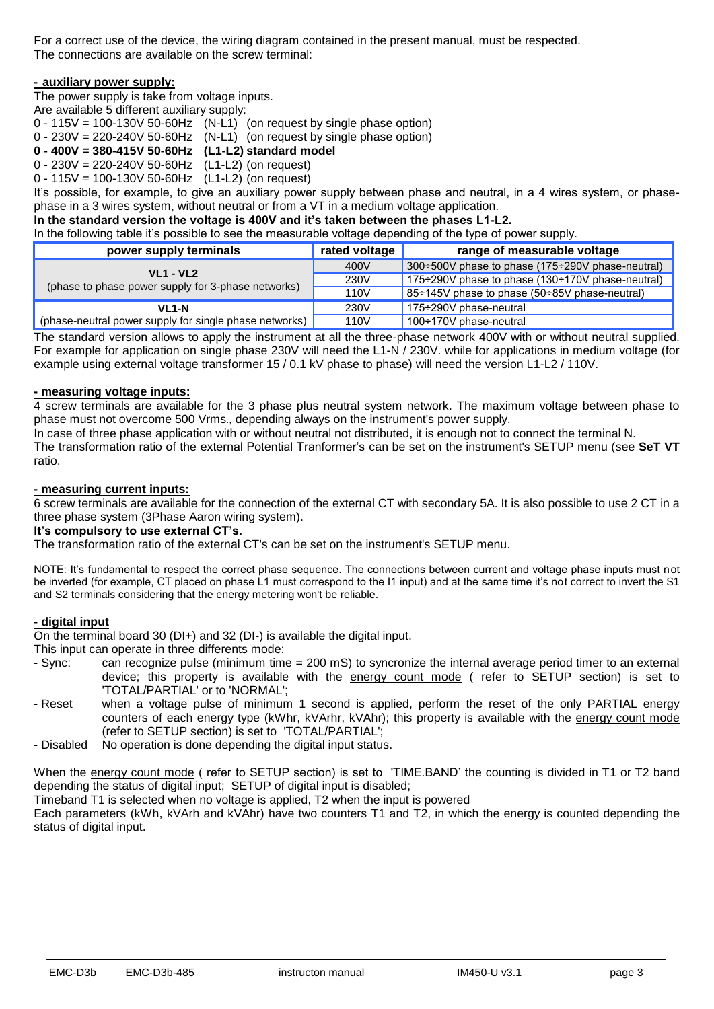For a correct use of the device, the wiring diagram contained in the present manual, must be respected. The connections are available on the screw terminal:

#### **- auxiliary power supply:**

The power supply is take from voltage inputs.

Are available 5 different auxiliary supply:

|  | $0 - 115V = 100 - 130V 50 - 60Hz$ (N-L1) (on request by single phase option) |  |  |  |  |
|--|------------------------------------------------------------------------------|--|--|--|--|
|  |                                                                              |  |  |  |  |

0 - 230V = 220-240V 50-60Hz (N-L1) (on request by single phase option)

**0 - 400V = 380-415V 50-60Hz (L1-L2) standard model**

0 - 230V = 220-240V 50-60Hz (L1-L2) (on request)

 $0 - 115V = 100 - 130V 50 - 60Hz$  (L1-L2) (on request)

It's possible, for example, to give an auxiliary power supply between phase and neutral, in a 4 wires system, or phasephase in a 3 wires system, without neutral or from a VT in a medium voltage application.

# **In the standard version the voltage is 400V and it's taken between the phases L1-L2.**

In the following table it's possible to see the measurable voltage depending of the type of power supply.

| power supply terminals                                 | rated voltage | range of measurable voltage                             |
|--------------------------------------------------------|---------------|---------------------------------------------------------|
| <b>VL1 - VL2</b>                                       | 400V          | 300÷500V phase to phase (175÷290V phase-neutral)        |
|                                                        | 230V          | 175÷290V phase to phase $(130 \div 170V)$ phase-neutral |
| (phase to phase power supply for 3-phase networks)     | 110V          | 85÷145V phase to phase (50÷85V phase-neutral)           |
| VL <sub>1</sub> -N                                     | 230V          | 175÷290V phase-neutral                                  |
| (phase-neutral power supply for single phase networks) | 110V          | 100÷170V phase-neutral                                  |

The standard version allows to apply the instrument at all the three-phase network 400V with or without neutral supplied. For example for application on single phase 230V will need the L1-N / 230V. while for applications in medium voltage (for example using external voltage transformer 15 / 0.1 kV phase to phase) will need the version L1-L2 / 110V.

# **- measuring voltage inputs:**

4 screw terminals are available for the 3 phase plus neutral system network. The maximum voltage between phase to phase must not overcome 500 Vrms., depending always on the instrument's power supply.

In case of three phase application with or without neutral not distributed, it is enough not to connect the terminal N.

The transformation ratio of the external Potential Tranformer's can be set on the instrument's SETUP menu (see **SeT VT** ratio.

#### **- measuring current inputs:**

6 screw terminals are available for the connection of the external CT with secondary 5A. It is also possible to use 2 CT in a three phase system (3Phase Aaron wiring system).

#### **It's compulsory to use external CT's.**

The transformation ratio of the external CT's can be set on the instrument's SETUP menu.

NOTE: It's fundamental to respect the correct phase sequence. The connections between current and voltage phase inputs must not be inverted (for example, CT placed on phase L1 must correspond to the I1 input) and at the same time it's not correct to invert the S1 and S2 terminals considering that the energy metering won't be reliable.

# **- digital input**

On the terminal board 30 (DI+) and 32 (DI-) is available the digital input.

This input can operate in three differents mode:

- Sync: can recognize pulse (minimum time = 200 mS) to syncronize the internal average period timer to an external device; this property is available with the energy count mode ( refer to SETUP section) is set to 'TOTAL/PARTIAL' or to 'NORMAL';
- Reset when a voltage pulse of minimum 1 second is applied, perform the reset of the only PARTIAL energy counters of each energy type (kWhr, kVArhr, kVAhr); this property is available with the energy count mode (refer to SETUP section) is set to 'TOTAL/PARTIAL';
- Disabled No operation is done depending the digital input status.

When the energy count mode ( refer to SETUP section) is set to 'TIME.BAND' the counting is divided in T1 or T2 band depending the status of digital input; SETUP of digital input is disabled;

Timeband T1 is selected when no voltage is applied, T2 when the input is powered

Each parameters (kWh, kVArh and kVAhr) have two counters T1 and T2, in which the energy is counted depending the status of digital input.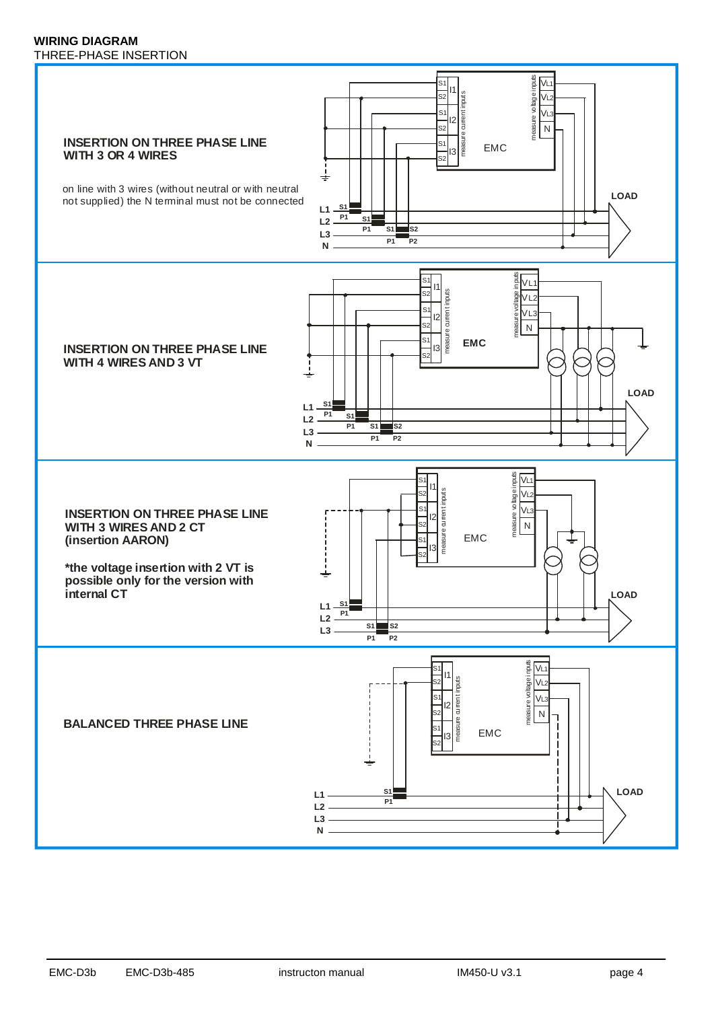#### **WIRING DIAGRAM** THREE-PHASE INSERTION

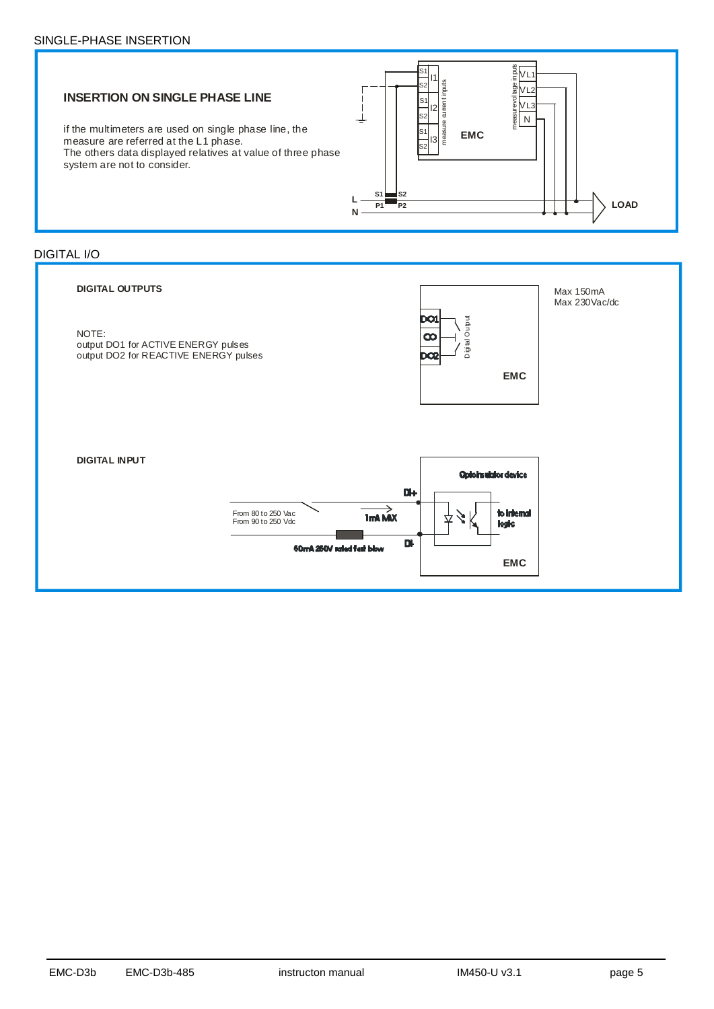





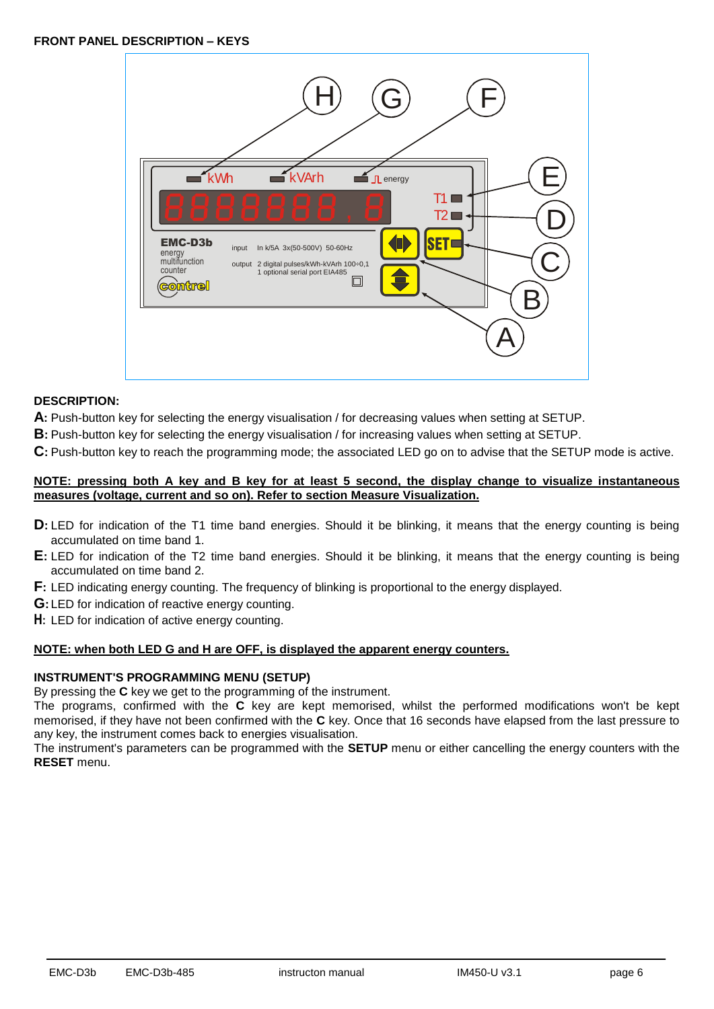

# **DESCRIPTION:**

**A:** Push-button key for selecting the energy visualisation / for decreasing values when setting at SETUP.

**B:** Push-button key for selecting the energy visualisation / for increasing values when setting at SETUP.

**C:** Push-button key to reach the programming mode; the associated LED go on to advise that the SETUP mode is active.

# **NOTE: pressing both A key and B key for at least 5 second, the display change to visualize instantaneous measures (voltage, current and so on). Refer to section Measure Visualization.**

- **D**: LED for indication of the T1 time band energies. Should it be blinking, it means that the energy counting is being accumulated on time band 1.
- **E:** LED for indication of the T2 time band energies. Should it be blinking, it means that the energy counting is being accumulated on time band 2.
- **F:** LED indicating energy counting. The frequency of blinking is proportional to the energy displayed.
- **G:** LED for indication of reactive energy counting.
- **H:** LED for indication of active energy counting.

# **NOTE: when both LED G and H are OFF, is displayed the apparent energy counters.**

# **INSTRUMENT'S PROGRAMMING MENU (SETUP)**

By pressing the **C** key we get to the programming of the instrument.

The programs, confirmed with the **C** key are kept memorised, whilst the performed modifications won't be kept memorised, if they have not been confirmed with the **C** key. Once that 16 seconds have elapsed from the last pressure to any key, the instrument comes back to energies visualisation.

The instrument's parameters can be programmed with the **SETUP** menu or either cancelling the energy counters with the **RESET** menu.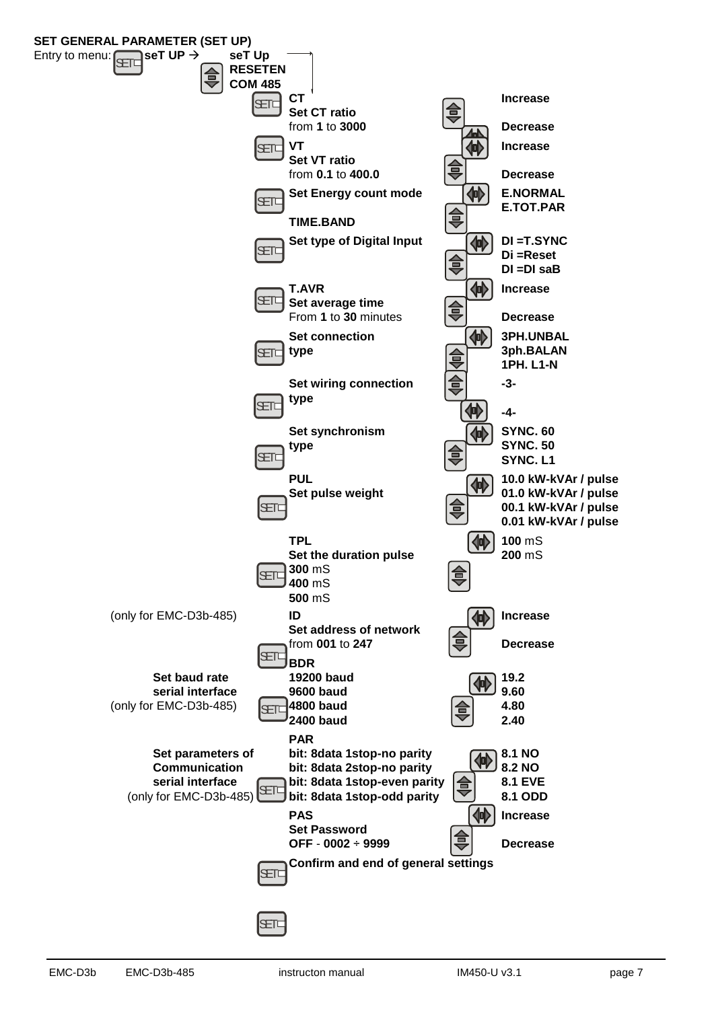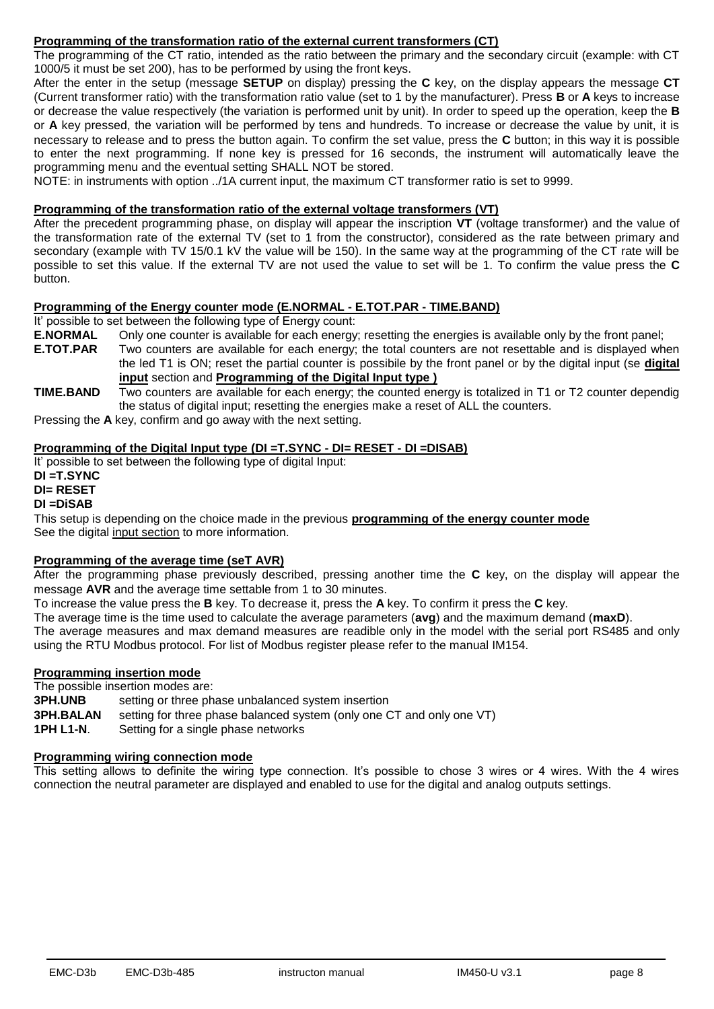# **Programming of the transformation ratio of the external current transformers (CT)**

The programming of the CT ratio, intended as the ratio between the primary and the secondary circuit (example: with CT 1000/5 it must be set 200), has to be performed by using the front keys.

After the enter in the setup (message **SETUP** on display) pressing the **C** key, on the display appears the message **CT** (Current transformer ratio) with the transformation ratio value (set to 1 by the manufacturer). Press **B** or **A** keys to increase or decrease the value respectively (the variation is performed unit by unit). In order to speed up the operation, keep the **B** or **A** key pressed, the variation will be performed by tens and hundreds. To increase or decrease the value by unit, it is necessary to release and to press the button again. To confirm the set value, press the **C** button; in this way it is possible to enter the next programming. If none key is pressed for 16 seconds, the instrument will automatically leave the programming menu and the eventual setting SHALL NOT be stored.

NOTE: in instruments with option ../1A current input, the maximum CT transformer ratio is set to 9999.

## **Programming of the transformation ratio of the external voltage transformers (VT)**

After the precedent programming phase, on display will appear the inscription **VT** (voltage transformer) and the value of the transformation rate of the external TV (set to 1 from the constructor), considered as the rate between primary and secondary (example with TV 15/0.1 kV the value will be 150). In the same way at the programming of the CT rate will be possible to set this value. If the external TV are not used the value to set will be 1. To confirm the value press the **C** button.

### **Programming of the Energy counter mode (E.NORMAL - E.TOT.PAR - TIME.BAND)**

It' possible to set between the following type of Energy count:

- **E.NORMAL** Only one counter is available for each energy; resetting the energies is available only by the front panel;
- **E.TOT.PAR** Two counters are available for each energy; the total counters are not resettable and is displayed when the led T1 is ON; reset the partial counter is possibile by the front panel or by the digital input (se **digital input** section and **Programming of the Digital Input type )**
- **TIME.BAND** Two counters are available for each energy; the counted energy is totalized in T1 or T2 counter dependig the status of digital input; resetting the energies make a reset of ALL the counters.

Pressing the **A** key, confirm and go away with the next setting.

# **Programming of the Digital Input type (DI =T.SYNC - DI= RESET - DI =DISAB)**

It' possible to set between the following type of digital Input:

# **DI =T.SYNC**

# **DI= RESET**

#### **DI =DiSAB**

This setup is depending on the choice made in the previous **programming of the energy counter mode** See the digital input section to more information.

# **Programming of the average time (seT AVR)**

After the programming phase previously described, pressing another time the **C** key, on the display will appear the message **AVR** and the average time settable from 1 to 30 minutes.

To increase the value press the **B** key. To decrease it, press the **A** key. To confirm it press the **C** key.

The average time is the time used to calculate the average parameters (**avg**) and the maximum demand (**maxD**).

The average measures and max demand measures are readible only in the model with the serial port RS485 and only using the RTU Modbus protocol. For list of Modbus register please refer to the manual IM154.

# **Programming insertion mode**

The possible insertion modes are:

**3PH.UNB** setting or three phase unbalanced system insertion<br>**3PH.BALAN** setting for three phase balanced system (only one C

**3PH.BALAN** setting for three phase balanced system (only one CT and only one VT)<br>**1PH L1-N.** Setting for a single phase networks

**Setting for a single phase networks** 

# **Programming wiring connection mode**

This setting allows to definite the wiring type connection. It's possible to chose 3 wires or 4 wires. With the 4 wires connection the neutral parameter are displayed and enabled to use for the digital and analog outputs settings.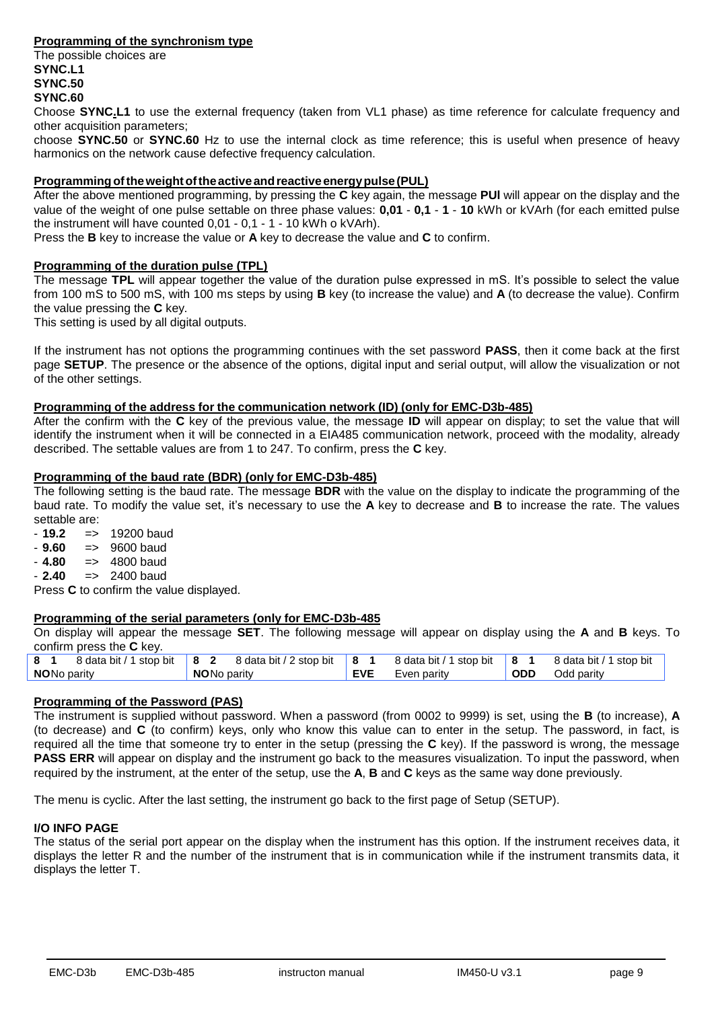# **Programming of the synchronism type**

The possible choices are **SYNC.L1 SYNC.50 SYNC.60**

Choose **SYNC.L1** to use the external frequency (taken from VL1 phase) as time reference for calculate frequency and other acquisition parameters;

choose **SYNC.50** or **SYNC.60** Hz to use the internal clock as time reference; this is useful when presence of heavy harmonics on the network cause defective frequency calculation.

# **Programmingoftheweightoftheactiveandreactiveenergypulse(PUL)**

After the above mentioned programming, by pressing the **C** key again, the message **PUl** will appear on the display and the value of the weight of one pulse settable on three phase values: **0,01** - **0,1** - **1** - **10** kWh or kVArh (for each emitted pulse the instrument will have counted 0,01 - 0,1 - 1 - 10 kWh o kVArh).

Press the **B** key to increase the value or **A** key to decrease the value and **C** to confirm.

#### **Programming of the duration pulse (TPL)**

The message **TPL** will appear together the value of the duration pulse expressed in mS. It's possible to select the value from 100 mS to 500 mS, with 100 ms steps by using **B** key (to increase the value) and **A** (to decrease the value). Confirm the value pressing the **C** key.

This setting is used by all digital outputs.

If the instrument has not options the programming continues with the set password **PASS**, then it come back at the first page **SETUP**. The presence or the absence of the options, digital input and serial output, will allow the visualization or not of the other settings.

#### **Programming of the address for the communication network (ID) (only for EMC-D3b-485)**

After the confirm with the **C** key of the previous value, the message **ID** will appear on display; to set the value that will identify the instrument when it will be connected in a EIA485 communication network, proceed with the modality, already described. The settable values are from 1 to 247. To confirm, press the **C** key.

#### **Programming of the baud rate (BDR) (only for EMC-D3b-485)**

The following setting is the baud rate. The message **BDR** with the value on the display to indicate the programming of the baud rate. To modify the value set, it's necessary to use the **A** key to decrease and **B** to increase the rate. The values settable are:<br> $-19.2$  =>

- **19.2** => 19200 baud

- **9.60** => 9600 baud
- **4.80** => 4800 baud
- **2.40** => 2400 baud

Press **C** to confirm the value displayed.

# **Programming of the serial parameters (only for EMC-D3b-485**

On display will appear the message **SET**. The following message will appear on display using the **A** and **B** keys. To confirm press the **C** key.

| 8 <sub>1</sub> |                    | 8 data bit / 1 stop bit 8 2 8 data bit / 2 stop bit | <b>8</b> 1 | 8 data bit / 1 stop bit   8 1 |            | 8 data bit / 1 stop bit |
|----------------|--------------------|-----------------------------------------------------|------------|-------------------------------|------------|-------------------------|
|                | <b>NONo parity</b> | <b>NONo parity</b>                                  | <b>EVE</b> | Even parity                   | <b>ODD</b> | Odd paritv              |
|                |                    |                                                     |            |                               |            |                         |

# **Programming of the Password (PAS)**

The instrument is supplied without password. When a password (from 0002 to 9999) is set, using the **B** (to increase), **A** (to decrease) and **C** (to confirm) keys, only who know this value can to enter in the setup. The password, in fact, is required all the time that someone try to enter in the setup (pressing the **C** key). If the password is wrong, the message **PASS ERR** will appear on display and the instrument go back to the measures visualization. To input the password, when required by the instrument, at the enter of the setup, use the **A**, **B** and **C** keys as the same way done previously.

The menu is cyclic. After the last setting, the instrument go back to the first page of Setup (SETUP).

# **I/O INFO PAGE**

The status of the serial port appear on the display when the instrument has this option. If the instrument receives data, it displays the letter R and the number of the instrument that is in communication while if the instrument transmits data, it displays the letter T.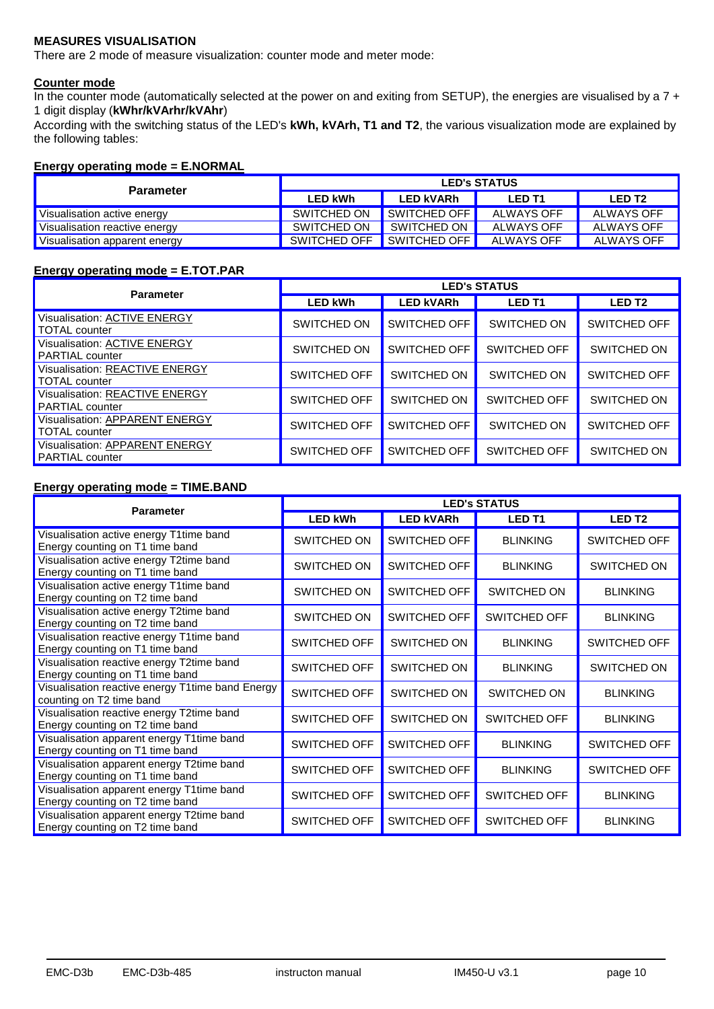# **MEASURES VISUALISATION**

There are 2 mode of measure visualization: counter mode and meter mode:

#### **Counter mode**

In the counter mode (automatically selected at the power on and exiting from SETUP), the energies are visualised by a 7 + 1 digit display (**kWhr/kVArhr/kVAhr**)

According with the switching status of the LED's **kWh, kVArh, T1 and T2**, the various visualization mode are explained by the following tables:

# **Energy operating mode = E.NORMAL**

| <b>Parameter</b>              | <b>LED's STATUS</b> |                  |               |               |  |  |
|-------------------------------|---------------------|------------------|---------------|---------------|--|--|
|                               | <b>LED kWh</b>      | <b>LED kVARh</b> | <b>LED T1</b> | <b>LED T2</b> |  |  |
| Visualisation active energy   | SWITCHED ON         | SWITCHED OFF     | ALWAYS OFF    | ALWAYS OFF    |  |  |
| Visualisation reactive energy | SWITCHED ON         | SWITCHED ON I    | ALWAYS OFF    | ALWAYS OFF    |  |  |
| Visualisation apparent energy | SWITCHED OFF        | SWITCHED OFF     | ALWAYS OFF    | ALWAYS OFF    |  |  |

#### **Energy operating mode = E.TOT.PAR**

| <b>Parameter</b>                                         | <b>LED's STATUS</b> |                  |                     |                   |  |  |
|----------------------------------------------------------|---------------------|------------------|---------------------|-------------------|--|--|
|                                                          | <b>LED kWh</b>      | <b>LED kVARh</b> | <b>LED T1</b>       | LED <sub>T2</sub> |  |  |
| Visualisation: ACTIVE ENERGY<br>TOTAL counter            | SWITCHED ON         | SWITCHED OFF     | SWITCHED ON         | SWITCHED OFF      |  |  |
| Visualisation: ACTIVE ENERGY<br><b>PARTIAL</b> counter   | SWITCHED ON         | SWITCHED OFF     | <b>SWITCHED OFF</b> | SWITCHED ON       |  |  |
| Visualisation: REACTIVE ENERGY<br>TOTAL counter          | <b>SWITCHED OFF</b> | SWITCHED ON      | SWITCHED ON         | SWITCHED OFF      |  |  |
| Visualisation: REACTIVE ENERGY<br><b>PARTIAL</b> counter | <b>SWITCHED OFF</b> | SWITCHED ON      | SWITCHED OFF        | SWITCHED ON       |  |  |
| Visualisation: APPARENT ENERGY<br>TOTAL counter          | <b>SWITCHED OFF</b> | SWITCHED OFF     | SWITCHED ON         | SWITCHED OFF      |  |  |
| Visualisation: APPARENT ENERGY<br><b>PARTIAL</b> counter | <b>SWITCHED OFF</b> | SWITCHED OFF     | <b>SWITCHED OFF</b> | SWITCHED ON       |  |  |

# **Energy operating mode = TIME.BAND**

| <b>Parameter</b>                                                             | <b>LED's STATUS</b> |                  |                 |                     |  |  |
|------------------------------------------------------------------------------|---------------------|------------------|-----------------|---------------------|--|--|
|                                                                              | <b>LED kWh</b>      | <b>LED kVARh</b> | <b>LED T1</b>   | <b>LED T2</b>       |  |  |
| Visualisation active energy T1time band<br>Energy counting on T1 time band   | SWITCHED ON         | SWITCHED OFF     | <b>BLINKING</b> | SWITCHED OFF        |  |  |
| Visualisation active energy T2time band<br>Energy counting on T1 time band   | SWITCHED ON         | SWITCHED OFF     | <b>BLINKING</b> | SWITCHED ON         |  |  |
| Visualisation active energy T1time band<br>Energy counting on T2 time band   | SWITCHED ON         | SWITCHED OFF     | SWITCHED ON     | <b>BLINKING</b>     |  |  |
| Visualisation active energy T2time band<br>Energy counting on T2 time band   | SWITCHED ON         | SWITCHED OFF     | SWITCHED OFF    | <b>BLINKING</b>     |  |  |
| Visualisation reactive energy T1time band<br>Energy counting on T1 time band | <b>SWITCHED OFF</b> | SWITCHED ON      | <b>BLINKING</b> | <b>SWITCHED OFF</b> |  |  |
| Visualisation reactive energy T2time band<br>Energy counting on T1 time band | <b>SWITCHED OFF</b> | SWITCHED ON      | <b>BLINKING</b> | SWITCHED ON         |  |  |
| Visualisation reactive energy T1time band Energy<br>counting on T2 time band | SWITCHED OFF        | SWITCHED ON      | SWITCHED ON     | <b>BLINKING</b>     |  |  |
| Visualisation reactive energy T2time band<br>Energy counting on T2 time band | SWITCHED OFF        | SWITCHED ON      | SWITCHED OFF    | <b>BLINKING</b>     |  |  |
| Visualisation apparent energy T1time band<br>Energy counting on T1 time band | <b>SWITCHED OFF</b> | SWITCHED OFF     | <b>BLINKING</b> | <b>SWITCHED OFF</b> |  |  |
| Visualisation apparent energy T2time band<br>Energy counting on T1 time band | SWITCHED OFF        | SWITCHED OFF     | <b>BLINKING</b> | <b>SWITCHED OFF</b> |  |  |
| Visualisation apparent energy T1time band<br>Energy counting on T2 time band | SWITCHED OFF        | SWITCHED OFF     | SWITCHED OFF    | <b>BLINKING</b>     |  |  |
| Visualisation apparent energy T2time band<br>Energy counting on T2 time band | SWITCHED OFF        | SWITCHED OFF     | SWITCHED OFF    | <b>BLINKING</b>     |  |  |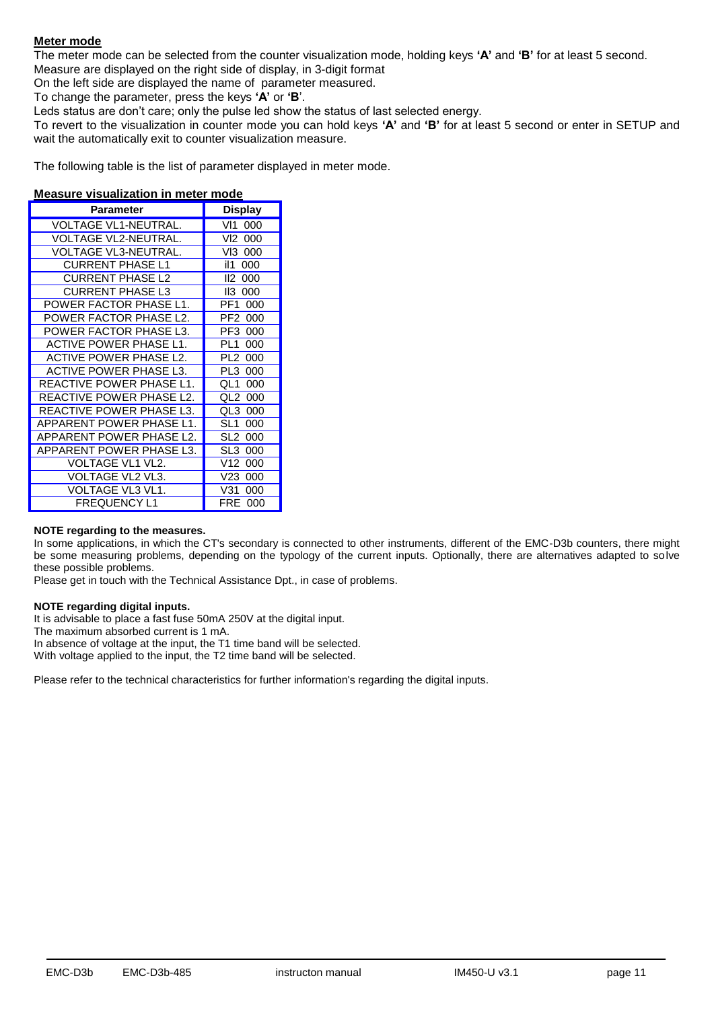# **Meter mode**

The meter mode can be selected from the counter visualization mode, holding keys **'A'** and **'B'** for at least 5 second.

Measure are displayed on the right side of display, in 3-digit format

On the left side are displayed the name of parameter measured.

To change the parameter, press the keys **'A'** or **'B**'.

Leds status are don't care; only the pulse led show the status of last selected energy.

To revert to the visualization in counter mode you can hold keys **'A'** and **'B'** for at least 5 second or enter in SETUP and wait the automatically exit to counter visualization measure.

The following table is the list of parameter displayed in meter mode.

#### **Measure visualization in meter mode**

| <b>Parameter</b>         | <b>Display</b>         |
|--------------------------|------------------------|
| VOLTAGE VL1-NEUTRAL.     | 000<br>VI1             |
| VOLTAGE VL2-NEUTRAL.     | VI2<br>000             |
| VOLTAGE VL3-NEUTRAL.     | VI3.<br>000            |
| <b>CURRENT PHASE L1</b>  | il1<br>000             |
| CURRENT PHASE L2         | 112<br>000             |
| <b>CURRENT PHASE L3</b>  | II3<br>000             |
| POWER FACTOR PHASE L1.   | PF1<br>000             |
| POWER FACTOR PHASE L2.   | PF <sub>2</sub><br>000 |
| POWER FACTOR PHASE L3.   | PF3<br>000             |
| ACTIVE POWER PHASE L1.   | PI 1<br>000            |
| ACTIVE POWER PHASE L2.   | PI 2<br>000            |
| ACTIVE POWER PHASE L3.   | PI 3<br>000            |
| REACTIVE POWER PHASE L1. | OL 1<br>000            |
| REACTIVE POWER PHASE L2. | OI 2<br>000            |
| REACTIVE POWER PHASE L3. | OL 3<br>000            |
| APPARENT POWER PHASE L1. | SL1<br>000             |
| APPARENT POWER PHASE L2. | SI 2<br>000            |
| APPARENT POWER PHASE L3. | SL3<br>000             |
| VOLTAGE VL1 VL2.         | V12<br>000             |
| VOLTAGE VL2 VL3.         | V23<br>000             |
| VOLTAGE VL3 VL1.         | V31<br>000             |
| <b>FREQUENCY L1</b>      | FRF<br>000             |

#### **NOTE regarding to the measures.**

In some applications, in which the CT's secondary is connected to other instruments, different of the EMC-D3b counters, there might be some measuring problems, depending on the typology of the current inputs. Optionally, there are alternatives adapted to solve these possible problems.

Please get in touch with the Technical Assistance Dpt., in case of problems.

### **NOTE regarding digital inputs.**

It is advisable to place a fast fuse 50mA 250V at the digital input.

The maximum absorbed current is 1 mA.

In absence of voltage at the input, the T1 time band will be selected.

With voltage applied to the input, the T2 time band will be selected.

Please refer to the technical characteristics for further information's regarding the digital inputs.